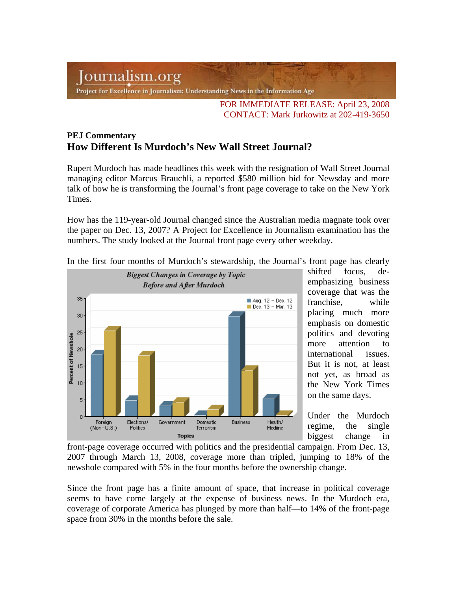## Journalism.org

Project for Excellence in Journalism: Understanding News in the Information Age

FOR IMMEDIATE RELEASE: April 23, 2008 CONTACT: Mark Jurkowitz at 202-419-3650

## **PEJ Commentary How Different Is Murdoch's New Wall Street Journal?**

Rupert Murdoch has made headlines this week with the resignation of Wall Street Journal managing editor Marcus Brauchli, a reported \$580 million bid for Newsday and more talk of how he is transforming the Journal's front page coverage to take on the New York Times.

How has the 119-year-old Journal changed since the Australian media magnate took over the paper on Dec. 13, 2007? A Project for Excellence in Journalism examination has the numbers. The study looked at the Journal front page every other weekday.



In the first four months of Murdoch's stewardship, the Journal's front page has clearly

shifted focus, deemphasizing business coverage that was the franchise, while placing much more emphasis on domestic politics and devoting more attention to international issues. But it is not, at least not yet, as broad as the New York Times on the same days.

Under the Murdoch regime, the single biggest change in

front-page coverage occurred with politics and the presidential campaign. From Dec. 13, 2007 through March 13, 2008, coverage more than tripled, jumping to 18% of the newshole compared with 5% in the four months before the ownership change.

Since the front page has a finite amount of space, that increase in political coverage seems to have come largely at the expense of business news. In the Murdoch era, coverage of corporate America has plunged by more than half—to 14% of the front-page space from 30% in the months before the sale.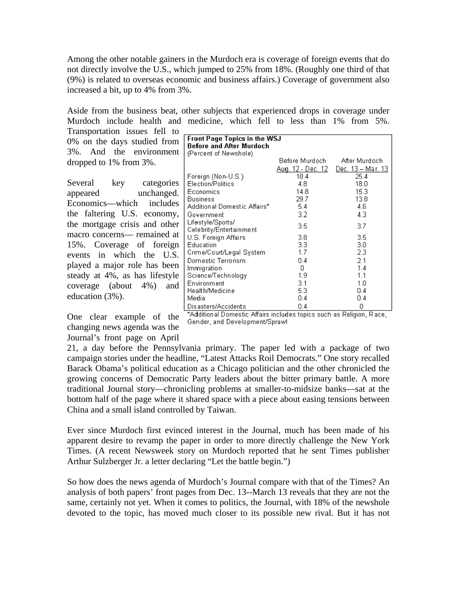Among the other notable gainers in the Murdoch era is coverage of foreign events that do not directly involve the U.S., which jumped to 25% from 18%. (Roughly one third of that (9%) is related to overseas economic and business affairs.) Coverage of government also increased a bit, up to 4% from 3%.

Aside from the business beat, other subjects that experienced drops in coverage under Murdoch include health and medicine, which fell to less than 1% from 5%.

> **Front Page Topics in the WSJ Before and After Murdoch** (Percent of Newshole)

Transportation issues fell to 0% on the days studied from 3%. And the environment dropped to 1% from 3%.

Several key categories appeared unchanged. Economics—which includes the faltering U.S. economy, the mortgage crisis and other macro concerns— remained at 15%. Coverage of foreign events in which the U.S. played a major role has been steady at 4%, as has lifestyle coverage (about 4%) and education (3%).

One clear example of the changing news agenda was the Journal's front page on April

|                                                                                 | <u> Aug. 12 - Dec. 12</u> | Dec. 13 – Mar. 13 |  |
|---------------------------------------------------------------------------------|---------------------------|-------------------|--|
| Foreign (Non-U.S.)                                                              | 18.4                      | 25.4              |  |
| Election/Politics                                                               | 4.8                       | 18.0              |  |
| Economics                                                                       | 14.8                      | 15.3              |  |
| <b>Business</b>                                                                 | 29.7                      | 13.8              |  |
| Additional Domestic Affairs*                                                    | 5.4                       | 4.6               |  |
| Government                                                                      | 3.2                       | 4.3               |  |
| Lifestyle/Sports/<br>Celebrity/Entertainment                                    | 3.5                       | 3.7               |  |
| U.S. Foreign Affairs                                                            | 3.8                       | 3.5               |  |
| Education                                                                       | 3.3                       | 3.0               |  |
| Crime/Court/Legal System                                                        | 1.7                       | 2.3               |  |
| Domestic Terrorism                                                              | 0.4                       | 2.1               |  |
| Immigration                                                                     | 0                         | 1.4               |  |
| Science/Technology                                                              | 1.9                       | 1.1               |  |
| Environment                                                                     | 3.1                       | 1.0               |  |
| Health/Medicine                                                                 | 5.3                       | 0.4               |  |
| Media                                                                           | 0.4                       | 0.4               |  |
| Disasters/Accidents                                                             | 0.4                       | Ω                 |  |
| ta dell'alce el Disponento all'alce incluedo e tenino puede per Delinion. Dispo |                           |                   |  |

Before Murdoch

After Murdoch

"Additional Domestic Affairs includes topics such as Religion, Race," Gender, and Development/Sprawl

21, a day before the Pennsylvania primary. The paper led with a package of two campaign stories under the headline, "Latest Attacks Roil Democrats." One story recalled Barack Obama's political education as a Chicago politician and the other chronicled the growing concerns of Democratic Party leaders about the bitter primary battle. A more traditional Journal story—chronicling problems at smaller-to-midsize banks—sat at the bottom half of the page where it shared space with a piece about easing tensions between China and a small island controlled by Taiwan.

Ever since Murdoch first evinced interest in the Journal, much has been made of his apparent desire to revamp the paper in order to more directly challenge the New York Times. (A recent Newsweek story on Murdoch reported that he sent Times publisher Arthur Sulzberger Jr. a letter declaring "Let the battle begin.")

So how does the news agenda of Murdoch's Journal compare with that of the Times? An analysis of both papers' front pages from Dec. 13--March 13 reveals that they are not the same, certainly not yet. When it comes to politics, the Journal, with 18% of the newshole devoted to the topic, has moved much closer to its possible new rival. But it has not